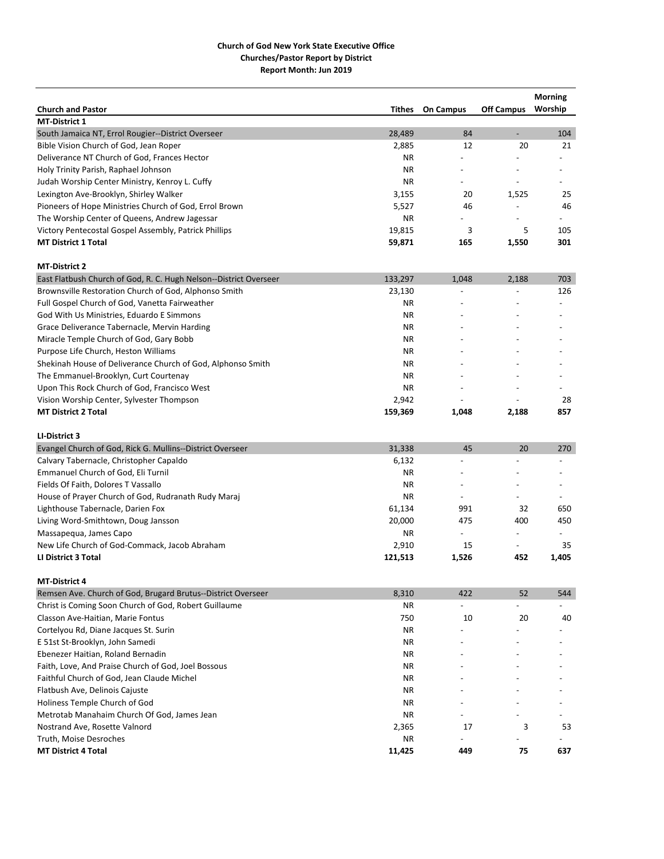|                                                                   |           |                          |                          | <b>Morning</b> |
|-------------------------------------------------------------------|-----------|--------------------------|--------------------------|----------------|
| <b>Church and Pastor</b>                                          | Tithes    | <b>On Campus</b>         | <b>Off Campus</b>        | Worship        |
| <b>MT-District 1</b>                                              |           |                          |                          |                |
| South Jamaica NT, Errol Rougier--District Overseer                | 28,489    | 84                       | $\overline{\phantom{a}}$ | 104            |
| Bible Vision Church of God, Jean Roper                            | 2,885     | 12                       | 20                       | 21             |
| Deliverance NT Church of God, Frances Hector                      | ΝR        |                          |                          |                |
| Holy Trinity Parish, Raphael Johnson                              | <b>NR</b> |                          |                          |                |
| Judah Worship Center Ministry, Kenroy L. Cuffy                    | <b>NR</b> |                          |                          |                |
| Lexington Ave-Brooklyn, Shirley Walker                            | 3,155     | 20                       | 1,525                    | 25             |
| Pioneers of Hope Ministries Church of God, Errol Brown            | 5,527     | 46                       | $\overline{\phantom{a}}$ | 46             |
| The Worship Center of Queens, Andrew Jagessar                     | ΝR        |                          |                          |                |
| Victory Pentecostal Gospel Assembly, Patrick Phillips             | 19,815    | 3                        | 5                        | 105            |
| <b>MT District 1 Total</b>                                        | 59,871    | 165                      | 1,550                    | 301            |
| <b>MT-District 2</b>                                              |           |                          |                          |                |
| East Flatbush Church of God, R. C. Hugh Nelson--District Overseer | 133,297   | 1,048                    | 2,188                    | 703            |
| Brownsville Restoration Church of God, Alphonso Smith             | 23,130    |                          |                          | 126            |
| Full Gospel Church of God, Vanetta Fairweather                    | <b>NR</b> |                          |                          |                |
| God With Us Ministries, Eduardo E Simmons                         | <b>NR</b> |                          |                          |                |
| Grace Deliverance Tabernacle, Mervin Harding                      | <b>NR</b> | $\overline{\phantom{a}}$ |                          |                |
| Miracle Temple Church of God, Gary Bobb                           | <b>NR</b> |                          |                          |                |
| Purpose Life Church, Heston Williams                              | ΝR        |                          |                          |                |
| Shekinah House of Deliverance Church of God, Alphonso Smith       | <b>NR</b> |                          |                          |                |
| The Emmanuel-Brooklyn, Curt Courtenay                             | <b>NR</b> |                          |                          |                |
| Upon This Rock Church of God, Francisco West                      | <b>NR</b> |                          |                          |                |
| Vision Worship Center, Sylvester Thompson                         | 2,942     |                          |                          | 28             |
| <b>MT District 2 Total</b>                                        | 159,369   | 1,048                    | 2,188                    | 857            |
|                                                                   |           |                          |                          |                |
| LI-District 3                                                     |           |                          |                          |                |
| Evangel Church of God, Rick G. Mullins--District Overseer         | 31,338    | 45                       | 20                       | 270            |
| Calvary Tabernacle, Christopher Capaldo                           | 6,132     |                          |                          |                |
| Emmanuel Church of God, Eli Turnil                                | <b>NR</b> |                          |                          |                |
| Fields Of Faith, Dolores T Vassallo                               | <b>NR</b> |                          |                          |                |
| House of Prayer Church of God, Rudranath Rudy Maraj               | <b>NR</b> | $\overline{\phantom{a}}$ | -                        |                |
| Lighthouse Tabernacle, Darien Fox                                 | 61,134    | 991                      | 32                       | 650            |
| Living Word-Smithtown, Doug Jansson                               | 20,000    | 475                      | 400                      | 450            |
| Massapequa, James Capo                                            | <b>NR</b> | $\overline{\phantom{a}}$ | $\overline{\phantom{a}}$ |                |
| New Life Church of God-Commack, Jacob Abraham                     | 2,910     | 15                       | $\overline{\phantom{a}}$ | 35             |
| <b>LI District 3 Total</b>                                        | 121,513   | 1,526                    | 452                      | 1,405          |
| <b>MT-District 4</b>                                              |           |                          |                          |                |
| Remsen Ave. Church of God, Brugard Brutus--District Overseer      | 8,310     | 422                      | 52                       | 544            |
| Christ is Coming Soon Church of God, Robert Guillaume             | ΝR        | $\overline{a}$           |                          |                |
| Classon Ave-Haitian, Marie Fontus                                 | 750       | 10                       | 20                       | 40             |
| Cortelyou Rd, Diane Jacques St. Surin                             | <b>NR</b> |                          |                          |                |
| E 51st St-Brooklyn, John Samedi                                   | ΝR        |                          |                          |                |
| Ebenezer Haitian, Roland Bernadin                                 | ΝR        |                          |                          |                |
| Faith, Love, And Praise Church of God, Joel Bossous               | <b>NR</b> |                          |                          |                |
| Faithful Church of God, Jean Claude Michel                        | ΝR        |                          |                          |                |
| Flatbush Ave, Delinois Cajuste                                    | <b>NR</b> |                          |                          |                |
| Holiness Temple Church of God                                     | ΝR        |                          |                          |                |
| Metrotab Manahaim Church Of God, James Jean                       | ΝR        |                          |                          |                |
| Nostrand Ave, Rosette Valnord                                     | 2,365     | 17                       | 3                        | 53             |
| Truth, Moise Desroches                                            | ΝR        | $\overline{a}$           |                          |                |
| <b>MT District 4 Total</b>                                        | 11,425    | 449                      | 75                       | 637            |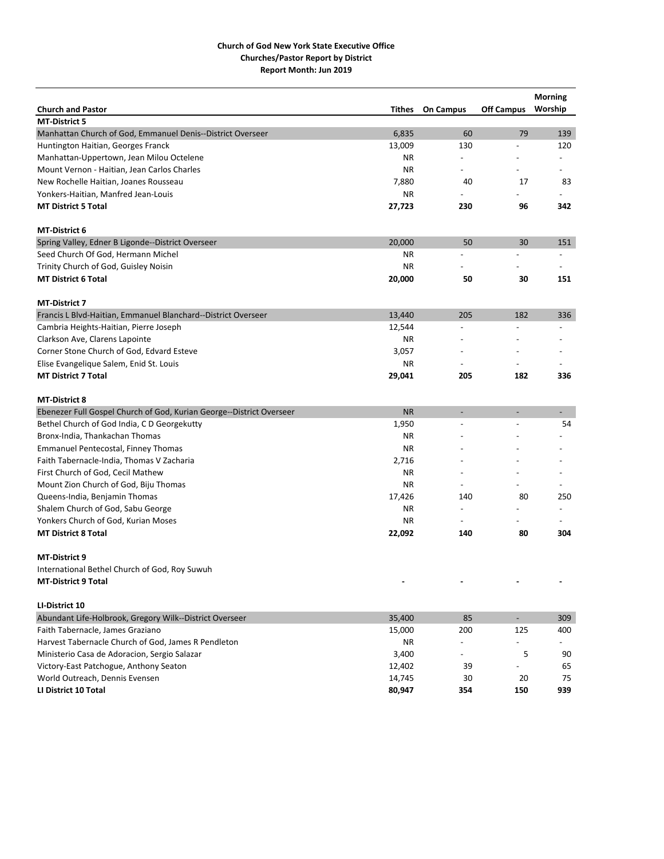|                                                                      |           |                          |                   | <b>Morning</b>           |
|----------------------------------------------------------------------|-----------|--------------------------|-------------------|--------------------------|
| <b>Church and Pastor</b>                                             | Tithes    | <b>On Campus</b>         | <b>Off Campus</b> | Worship                  |
| <b>MT-District 5</b>                                                 |           |                          |                   |                          |
| Manhattan Church of God, Emmanuel Denis--District Overseer           | 6,835     | 60                       | 79                | 139                      |
| Huntington Haitian, Georges Franck                                   | 13,009    | 130                      |                   | 120                      |
| Manhattan-Uppertown, Jean Milou Octelene                             | ΝR        | $\overline{a}$           |                   | $\overline{\phantom{0}}$ |
| Mount Vernon - Haitian, Jean Carlos Charles                          | <b>NR</b> | $\overline{\phantom{0}}$ |                   | $\overline{\phantom{0}}$ |
| New Rochelle Haitian, Joanes Rousseau                                | 7,880     | 40                       | 17                | 83                       |
| Yonkers-Haitian, Manfred Jean-Louis                                  | <b>NR</b> |                          |                   |                          |
| <b>MT District 5 Total</b>                                           | 27,723    | 230                      | 96                | 342                      |
| <b>MT-District 6</b>                                                 |           |                          |                   |                          |
| Spring Valley, Edner B Ligonde--District Overseer                    | 20,000    | 50                       | 30                | 151                      |
| Seed Church Of God, Hermann Michel                                   | ΝR        |                          |                   |                          |
| Trinity Church of God, Guisley Noisin                                | ΝR        |                          |                   |                          |
| <b>MT District 6 Total</b>                                           | 20,000    | 50                       | 30                | 151                      |
| <b>MT-District 7</b>                                                 |           |                          |                   |                          |
| Francis L Blvd-Haitian, Emmanuel Blanchard--District Overseer        | 13,440    | 205                      | 182               | 336                      |
| Cambria Heights-Haitian, Pierre Joseph                               | 12,544    | $\overline{a}$           |                   |                          |
| Clarkson Ave, Clarens Lapointe                                       | ΝR        |                          |                   |                          |
| Corner Stone Church of God, Edvard Esteve                            | 3,057     |                          |                   |                          |
| Elise Evangelique Salem, Enid St. Louis                              | <b>NR</b> |                          |                   |                          |
| <b>MT District 7 Total</b>                                           | 29,041    | 205                      | 182               | 336                      |
|                                                                      |           |                          |                   |                          |
| <b>MT-District 8</b>                                                 |           |                          |                   |                          |
| Ebenezer Full Gospel Church of God, Kurian George--District Overseer | <b>NR</b> | $\overline{\phantom{a}}$ |                   |                          |
| Bethel Church of God India, C D Georgekutty                          | 1,950     | $\overline{a}$           |                   | 54                       |
| Bronx-India, Thankachan Thomas                                       | ΝR        |                          |                   |                          |
| <b>Emmanuel Pentecostal, Finney Thomas</b>                           | <b>NR</b> |                          |                   |                          |
| Faith Tabernacle-India, Thomas V Zacharia                            | 2,716     |                          |                   |                          |
| First Church of God, Cecil Mathew                                    | <b>NR</b> |                          |                   |                          |
| Mount Zion Church of God, Biju Thomas                                | <b>NR</b> | $\overline{a}$           |                   |                          |
| Queens-India, Benjamin Thomas                                        | 17,426    | 140                      | 80                | 250                      |
| Shalem Church of God, Sabu George                                    | ΝR        | $\overline{\phantom{0}}$ |                   | $\overline{\phantom{a}}$ |
| Yonkers Church of God, Kurian Moses                                  | <b>NR</b> | $\overline{\phantom{a}}$ |                   |                          |
| <b>MT District 8 Total</b>                                           | 22,092    | 140                      | 80                | 304                      |
| <b>MT-District 9</b>                                                 |           |                          |                   |                          |
| International Bethel Church of God, Roy Suwuh                        |           |                          |                   |                          |
| <b>MT-District 9 Total</b>                                           |           |                          |                   |                          |
| LI-District 10                                                       |           |                          |                   |                          |
| Abundant Life-Holbrook, Gregory Wilk--District Overseer              | 35,400    | 85                       | $\blacksquare$    | 309                      |
| Faith Tabernacle, James Graziano                                     | 15,000    | 200                      | 125               | 400                      |
| Harvest Tabernacle Church of God, James R Pendleton                  | ΝR        |                          |                   |                          |
| Ministerio Casa de Adoracion, Sergio Salazar                         | 3,400     |                          | 5                 | 90                       |
| Victory-East Patchogue, Anthony Seaton                               | 12,402    | 39                       |                   | 65                       |
| World Outreach, Dennis Evensen                                       | 14,745    | 30                       | 20                | 75                       |
| LI District 10 Total                                                 | 80,947    |                          | 150               | 939                      |
|                                                                      |           | 354                      |                   |                          |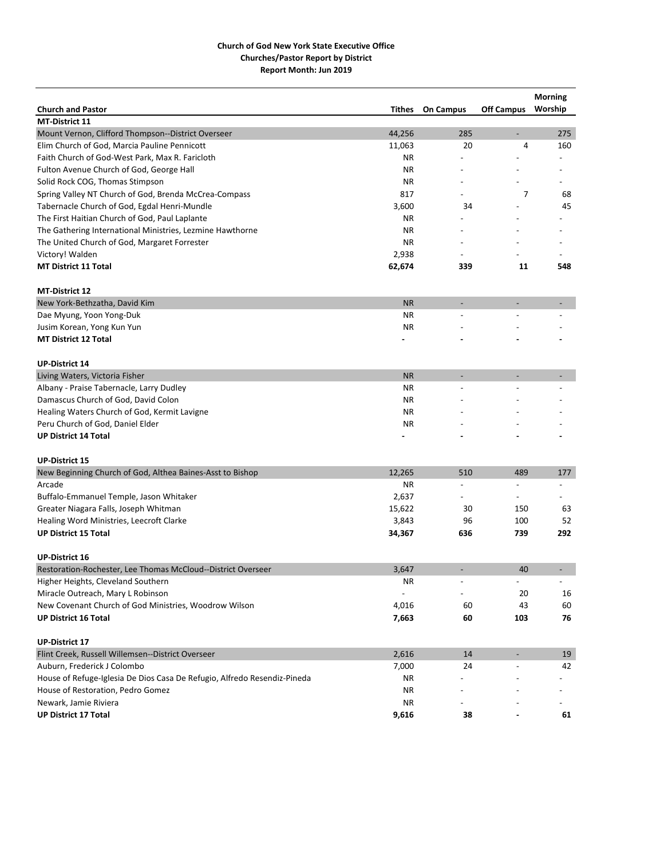| <b>Church and Pastor</b>                                                 |                          |                  |                          | <b>Morning</b>           |
|--------------------------------------------------------------------------|--------------------------|------------------|--------------------------|--------------------------|
| MT-District 11                                                           | Tithes                   | <b>On Campus</b> | <b>Off Campus</b>        | Worship                  |
| Mount Vernon, Clifford Thompson--District Overseer                       | 44,256                   | 285              | $\overline{\phantom{m}}$ | 275                      |
| Elim Church of God, Marcia Pauline Pennicott                             | 11,063                   | 20               | 4                        | 160                      |
| Faith Church of God-West Park, Max R. Faricloth                          | <b>NR</b>                |                  |                          |                          |
| Fulton Avenue Church of God, George Hall                                 | ΝR                       |                  |                          |                          |
| Solid Rock COG, Thomas Stimpson                                          | <b>NR</b>                |                  |                          |                          |
| Spring Valley NT Church of God, Brenda McCrea-Compass                    | 817                      |                  | 7                        | 68                       |
| Tabernacle Church of God, Egdal Henri-Mundle                             | 3,600                    | 34               |                          | 45                       |
| The First Haitian Church of God, Paul Laplante                           | <b>NR</b>                |                  |                          |                          |
| The Gathering International Ministries, Lezmine Hawthorne                | ΝR                       |                  |                          |                          |
| The United Church of God, Margaret Forrester                             | <b>NR</b>                |                  |                          |                          |
| Victory! Walden                                                          | 2,938                    |                  |                          |                          |
| <b>MT District 11 Total</b>                                              | 62,674                   | 339              | 11                       | 548                      |
|                                                                          |                          |                  |                          |                          |
| <b>MT-District 12</b>                                                    |                          |                  |                          |                          |
| New York-Bethzatha, David Kim                                            | <b>NR</b>                |                  |                          |                          |
| Dae Myung, Yoon Yong-Duk                                                 | <b>NR</b>                |                  |                          |                          |
| Jusim Korean, Yong Kun Yun                                               | <b>NR</b>                |                  |                          |                          |
| <b>MT District 12 Total</b>                                              |                          |                  |                          |                          |
|                                                                          |                          |                  |                          |                          |
| <b>UP-District 14</b>                                                    |                          |                  |                          |                          |
| Living Waters, Victoria Fisher                                           | <b>NR</b>                |                  |                          |                          |
| Albany - Praise Tabernacle, Larry Dudley                                 | <b>NR</b>                |                  |                          |                          |
| Damascus Church of God, David Colon                                      | <b>NR</b>                |                  |                          |                          |
| Healing Waters Church of God, Kermit Lavigne                             | <b>NR</b>                |                  |                          |                          |
| Peru Church of God, Daniel Elder                                         | ΝR                       |                  |                          |                          |
| <b>UP District 14 Total</b>                                              |                          |                  |                          |                          |
| <b>UP-District 15</b>                                                    |                          |                  |                          |                          |
| New Beginning Church of God, Althea Baines-Asst to Bishop                | 12,265                   | 510              | 489                      | 177                      |
| Arcade                                                                   | ΝR                       |                  |                          |                          |
| Buffalo-Emmanuel Temple, Jason Whitaker                                  | 2,637                    |                  |                          |                          |
| Greater Niagara Falls, Joseph Whitman                                    | 15,622                   | 30               | 150                      | 63                       |
|                                                                          | 3,843                    | 96               | 100                      | 52                       |
| Healing Word Ministries, Leecroft Clarke<br><b>UP District 15 Total</b>  | 34,367                   | 636              | 739                      | 292                      |
|                                                                          |                          |                  |                          |                          |
| <b>UP-District 16</b>                                                    |                          |                  |                          |                          |
| Restoration-Rochester, Lee Thomas McCloud--District Overseer             | 3,647                    |                  | 40                       |                          |
| Higher Heights, Cleveland Southern                                       | ΝR                       |                  | $\overline{\phantom{a}}$ | $\overline{\phantom{a}}$ |
| Miracle Outreach, Mary L Robinson                                        | $\overline{\phantom{a}}$ |                  | 20                       | 16                       |
| New Covenant Church of God Ministries, Woodrow Wilson                    | 4,016                    | 60               | 43                       | 60                       |
| <b>UP District 16 Total</b>                                              | 7,663                    | 60               | 103                      | 76                       |
|                                                                          |                          |                  |                          |                          |
| <b>UP-District 17</b>                                                    |                          |                  |                          |                          |
| Flint Creek, Russell Willemsen--District Overseer                        | 2,616                    | 14               |                          | 19                       |
| Auburn, Frederick J Colombo                                              | 7,000                    | 24               |                          | 42                       |
| House of Refuge-Iglesia De Dios Casa De Refugio, Alfredo Resendiz-Pineda | ΝR                       |                  |                          |                          |
| House of Restoration, Pedro Gomez                                        | ΝR                       |                  |                          |                          |
| Newark, Jamie Riviera                                                    | ΝR                       |                  |                          |                          |
| <b>UP District 17 Total</b>                                              | 9,616                    | 38               |                          | 61                       |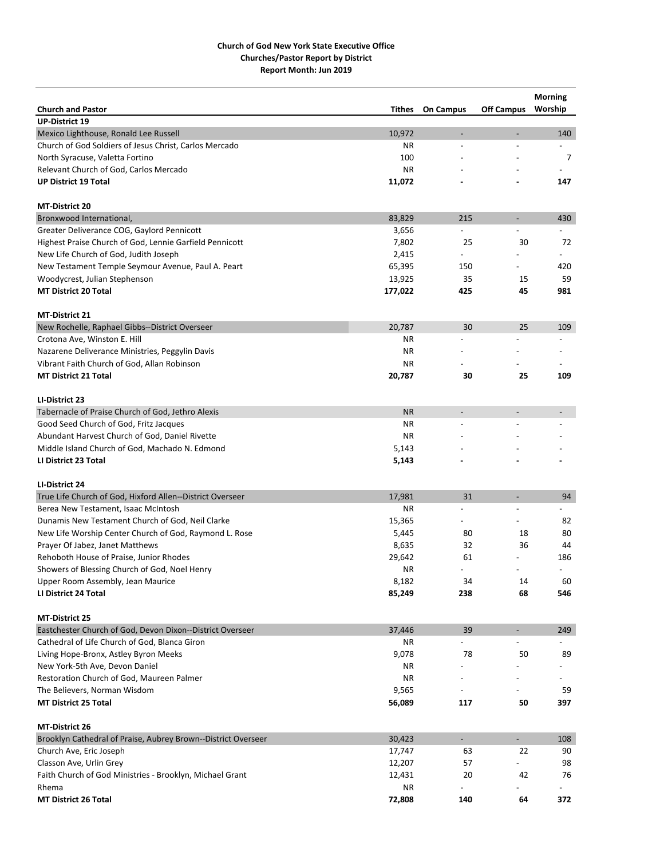|                                                               |           |                          |                             | <b>Morning</b>           |
|---------------------------------------------------------------|-----------|--------------------------|-----------------------------|--------------------------|
| <b>Church and Pastor</b>                                      | Tithes    | <b>On Campus</b>         | <b>Off Campus</b>           | Worship                  |
| <b>UP-District 19</b>                                         |           |                          |                             |                          |
| Mexico Lighthouse, Ronald Lee Russell                         | 10,972    | $\overline{\phantom{a}}$ | $\overline{\phantom{a}}$    | 140                      |
| Church of God Soldiers of Jesus Christ, Carlos Mercado        | <b>NR</b> | $\overline{a}$           | $\overline{a}$              |                          |
| North Syracuse, Valetta Fortino                               | 100       |                          |                             | 7                        |
| Relevant Church of God, Carlos Mercado                        | <b>NR</b> |                          |                             |                          |
| <b>UP District 19 Total</b>                                   | 11,072    |                          |                             | 147                      |
| <b>MT-District 20</b>                                         |           |                          |                             |                          |
| Bronxwood International,                                      | 83,829    | 215                      | $\overline{\phantom{a}}$    | 430                      |
| Greater Deliverance COG, Gaylord Pennicott                    | 3,656     |                          |                             |                          |
| Highest Praise Church of God, Lennie Garfield Pennicott       | 7,802     | 25                       | 30                          | 72                       |
| New Life Church of God, Judith Joseph                         | 2,415     |                          |                             |                          |
| New Testament Temple Seymour Avenue, Paul A. Peart            | 65,395    | 150                      |                             | 420                      |
| Woodycrest, Julian Stephenson                                 | 13,925    | 35                       | 15                          | 59                       |
| <b>MT District 20 Total</b>                                   | 177,022   | 425                      | 45                          | 981                      |
|                                                               |           |                          |                             |                          |
| <b>MT-District 21</b>                                         |           |                          |                             |                          |
| New Rochelle, Raphael Gibbs--District Overseer                | 20,787    | 30                       | 25                          | 109                      |
| Crotona Ave, Winston E. Hill                                  | ΝR        |                          |                             |                          |
| Nazarene Deliverance Ministries, Peggylin Davis               | ΝR        |                          |                             |                          |
| Vibrant Faith Church of God, Allan Robinson                   | <b>NR</b> |                          |                             |                          |
| <b>MT District 21 Total</b>                                   | 20,787    | 30                       | 25                          | 109                      |
| LI-District 23                                                |           |                          |                             |                          |
| Tabernacle of Praise Church of God, Jethro Alexis             | <b>NR</b> | $\overline{\phantom{a}}$ | $\overline{\phantom{a}}$    |                          |
| Good Seed Church of God, Fritz Jacques                        | <b>NR</b> |                          |                             |                          |
| Abundant Harvest Church of God, Daniel Rivette                | <b>NR</b> |                          |                             |                          |
| Middle Island Church of God, Machado N. Edmond                | 5,143     |                          |                             |                          |
| LI District 23 Total                                          | 5,143     |                          |                             |                          |
|                                                               |           |                          |                             |                          |
| LI-District 24                                                |           |                          |                             |                          |
| True Life Church of God, Hixford Allen--District Overseer     | 17,981    | 31                       | $\overline{\phantom{a}}$    | 94                       |
| Berea New Testament, Isaac McIntosh                           | ΝR        | $\overline{a}$           | $\overline{a}$              | $\overline{\phantom{a}}$ |
| Dunamis New Testament Church of God, Neil Clarke              | 15,365    |                          |                             | 82                       |
| New Life Worship Center Church of God, Raymond L. Rose        | 5,445     | 80                       | 18                          | 80                       |
| Prayer Of Jabez, Janet Matthews                               | 8,635     | 32                       | 36                          | 44                       |
| Rehoboth House of Praise, Junior Rhodes                       | 29,642    | 61                       |                             | 186                      |
| Showers of Blessing Church of God, Noel Henry                 | <b>NR</b> | $\overline{a}$           | $\overline{a}$              | $\overline{\phantom{a}}$ |
| Upper Room Assembly, Jean Maurice                             | 8,182     | 34                       | 14                          | 60                       |
| LI District 24 Total                                          | 85,249    | 238                      | 68                          | 546                      |
| <b>MT-District 25</b>                                         |           |                          |                             |                          |
| Eastchester Church of God, Devon Dixon--District Overseer     | 37,446    | 39                       | $\overline{\phantom{a}}$    | 249                      |
| Cathedral of Life Church of God, Blanca Giron                 | ΝR        |                          |                             |                          |
| Living Hope-Bronx, Astley Byron Meeks                         | 9,078     | 78                       | 50                          | 89                       |
| New York-5th Ave, Devon Daniel                                | ΝR        |                          |                             |                          |
| Restoration Church of God, Maureen Palmer                     | ΝR        | $\overline{\phantom{a}}$ |                             |                          |
| The Believers, Norman Wisdom                                  | 9,565     |                          |                             | 59                       |
| <b>MT District 25 Total</b>                                   | 56,089    | 117                      | 50                          | 397                      |
| MT-District 26                                                |           |                          |                             |                          |
| Brooklyn Cathedral of Praise, Aubrey Brown--District Overseer | 30,423    | $\blacksquare$           | $\mathcal{L}_{\mathcal{A}}$ | 108                      |
| Church Ave, Eric Joseph                                       | 17,747    | 63                       | 22                          | 90                       |
| Classon Ave, Urlin Grey                                       | 12,207    | 57                       |                             | 98                       |
| Faith Church of God Ministries - Brooklyn, Michael Grant      | 12,431    | 20                       | 42                          | 76                       |
| Rhema                                                         | ΝR        |                          |                             |                          |
| <b>MT District 26 Total</b>                                   | 72,808    | 140                      | 64                          | 372                      |
|                                                               |           |                          |                             |                          |